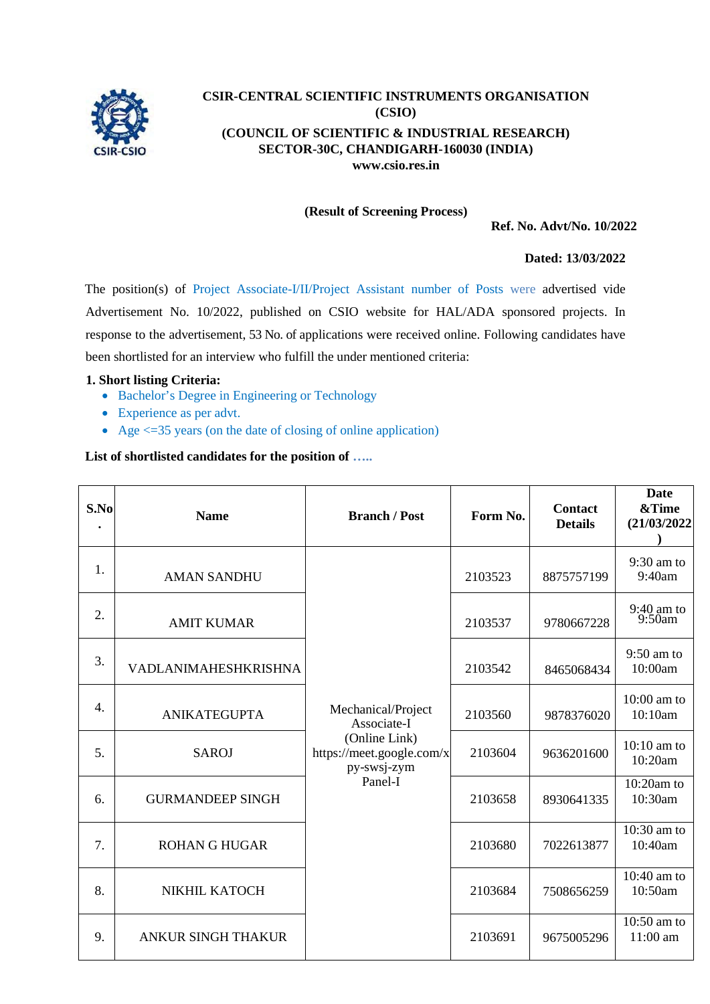

# **CSIR-CENTRAL SCIENTIFIC INSTRUMENTS ORGANISATION (CSIO) (COUNCIL OF SCIENTIFIC & INDUSTRIAL RESEARCH) SECTOR-30C, CHANDIGARH-160030 (INDIA) [www.csio.res.in](http://www.csio.res.in/)**

# **(Result of Screening Process)**

**Ref. No. Advt/No. 10/2022**

## **Dated: 13/03/2022**

The position(s) of Project Associate-I/II/Project Assistant number of Posts were advertised vide Advertisement No. 10/2022, published on CSIO website for HAL/ADA sponsored projects. In response to the advertisement, 53 No. of applications were received online. Following candidates have been shortlisted for an interview who fulfill the under mentioned criteria:

#### **1. Short listing Criteria:**

- Bachelor's Degree in Engineering or Technology
- Experience as per advt.
- Age  $\leq$  =35 years (on the date of closing of online application)

## **List of shortlisted candidates for the position of …..**

| S.No             | <b>Name</b>               | <b>Branch / Post</b>                                                                                      | Form No. | <b>Contact</b><br><b>Details</b> | <b>Date</b><br>&Time<br>(21/03/2022) |
|------------------|---------------------------|-----------------------------------------------------------------------------------------------------------|----------|----------------------------------|--------------------------------------|
| 1.               | <b>AMAN SANDHU</b>        | Mechanical/Project<br>Associate-I<br>(Online Link)<br>https://meet.google.com/x<br>py-swsj-zym<br>Panel-I | 2103523  | 8875757199                       | 9:30 am to<br>9:40am                 |
| 2.               | <b>AMIT KUMAR</b>         |                                                                                                           | 2103537  | 9780667228                       | 9:40 am to<br>9:50am                 |
| 3.               | VADLANIMAHESHKRISHNA      |                                                                                                           | 2103542  | 8465068434                       | $9:50$ am to<br>10:00am              |
| $\overline{4}$ . | <b>ANIKATEGUPTA</b>       |                                                                                                           | 2103560  | 9878376020                       | $10:00$ am to<br>10:10am             |
| 5.               | <b>SAROJ</b>              |                                                                                                           | 2103604  | 9636201600                       | $10:10$ am to<br>10:20am             |
| 6.               | <b>GURMANDEEP SINGH</b>   |                                                                                                           | 2103658  | 8930641335                       | $10:20$ am to<br>10:30am             |
| 7.               | <b>ROHAN G HUGAR</b>      |                                                                                                           | 2103680  | 7022613877                       | 10:30 am to<br>10:40am               |
| 8.               | NIKHIL KATOCH             |                                                                                                           | 2103684  | 7508656259                       | $10:40$ am to<br>10:50am             |
| 9.               | <b>ANKUR SINGH THAKUR</b> |                                                                                                           | 2103691  | 9675005296                       | 10:50 am to<br>11:00 am              |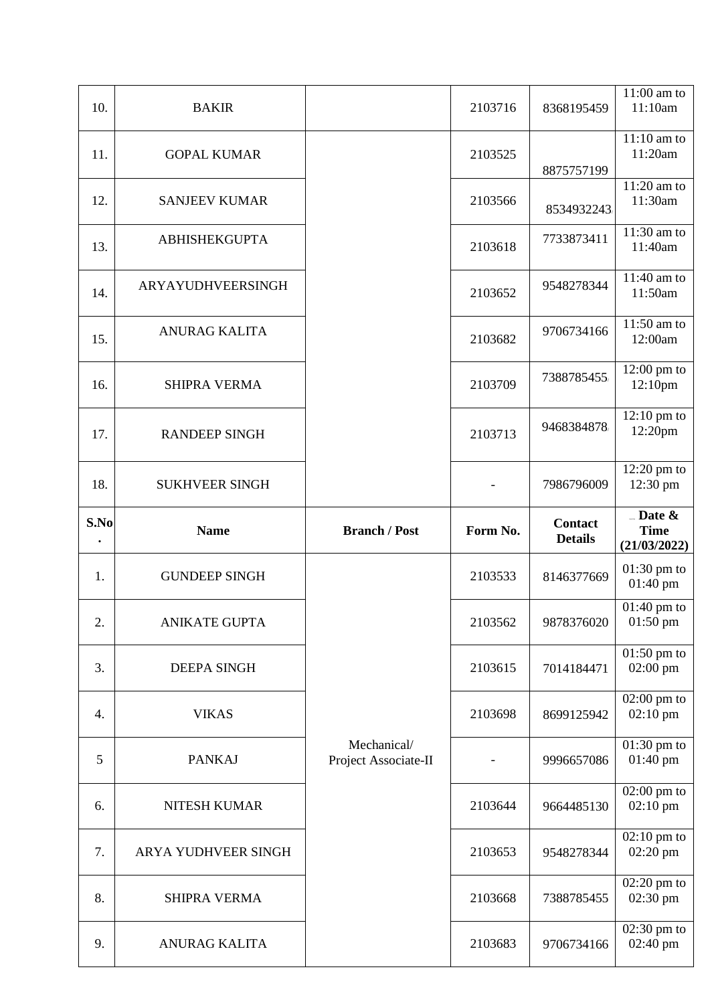| 10.       | <b>BAKIR</b>          |                                     | 2103716  | 8368195459     | 11:00 am to<br>11:10am                      |
|-----------|-----------------------|-------------------------------------|----------|----------------|---------------------------------------------|
| 11.       | <b>GOPAL KUMAR</b>    |                                     | 2103525  | 8875757199     | $11:10$ am to<br>11:20am                    |
| 12.       | <b>SANJEEV KUMAR</b>  |                                     | 2103566  | 8534932243     | 11:20 am to<br>11:30am                      |
| 13.       | <b>ABHISHEKGUPTA</b>  |                                     | 2103618  | 7733873411     | 11:30 am to<br>11:40am                      |
| 14.       | ARYAYUDHVEERSINGH     |                                     | 2103652  | 9548278344     | 11:40 am to<br>11:50am                      |
| 15.       | <b>ANURAG KALITA</b>  |                                     | 2103682  | 9706734166     | 11:50 am to<br>12:00am                      |
| 16.       | <b>SHIPRA VERMA</b>   |                                     | 2103709  | 7388785455     | $12:00 \text{ pm}$ to<br>12:10pm            |
| 17.       | <b>RANDEEP SINGH</b>  |                                     | 2103713  | 9468384878     | $12:10 \text{ pm}$ to<br>12:20pm            |
| 18.       | <b>SUKHVEER SINGH</b> |                                     |          | 7986796009     | $12:20 \text{ pm}$ to<br>12:30 pm           |
| S.No      |                       |                                     |          | <b>Contact</b> | $\Box$ Date &                               |
| $\bullet$ | <b>Name</b>           | <b>Branch / Post</b>                | Form No. | <b>Details</b> | <b>Time</b><br>(21/03/2022)                 |
| 1.        | <b>GUNDEEP SINGH</b>  |                                     | 2103533  | 8146377669     | $01:30$ pm to<br>$01:40 \text{ pm}$         |
| 2.        | <b>ANIKATE GUPTA</b>  |                                     | 2103562  | 9878376020     | $01:40$ pm to<br>$01:50 \text{ pm}$         |
| 3.        | <b>DEEPA SINGH</b>    |                                     | 2103615  | 7014184471     | $01:50$ pm to<br>$02:00 \text{ pm}$         |
| 4.        | <b>VIKAS</b>          |                                     | 2103698  | 8699125942     | $02:00 \text{ pm}$ to<br>$02:10$ pm         |
| 5         | <b>PANKAJ</b>         | Mechanical/<br>Project Associate-II |          | 9996657086     | $01:30$ pm to<br>01:40 pm                   |
| 6.        | <b>NITESH KUMAR</b>   |                                     | 2103644  | 9664485130     | $02:00 \text{ pm}$ to<br>$02:10 \text{ pm}$ |
| 7.        | ARYA YUDHVEER SINGH   |                                     | 2103653  | 9548278344     | $02:10 \text{ pm}$ to<br>02:20 pm           |
| 8.        | <b>SHIPRA VERMA</b>   |                                     | 2103668  | 7388785455     | $02:20 \text{ pm}$ to<br>02:30 pm           |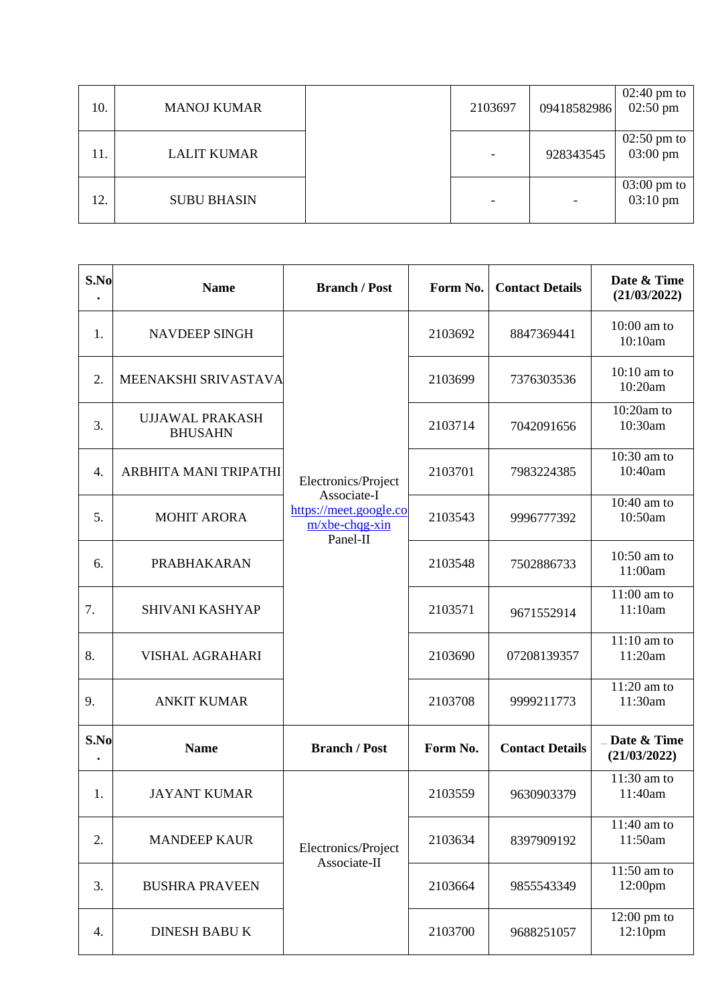| 10. | <b>MANOJ KUMAR</b> | 2103697                  | 09418582986              | $02:40 \text{ pm}$ to<br>$02:50 \text{ pm}$ |
|-----|--------------------|--------------------------|--------------------------|---------------------------------------------|
| 11. | <b>LALIT KUMAR</b> | $\overline{\phantom{a}}$ | 928343545                | $02:50 \text{ pm}$ to<br>$03:00 \text{ pm}$ |
| 12. | <b>SUBU BHASIN</b> | $\overline{\phantom{a}}$ | $\overline{\phantom{a}}$ | $03:00 \text{ pm}$ to<br>$03:10 \text{ pm}$ |

| S.No | <b>Name</b>                              | <b>Branch / Post</b>                                                                          | Form No. | <b>Contact Details</b> | Date & Time<br>(21/03/2022)          |
|------|------------------------------------------|-----------------------------------------------------------------------------------------------|----------|------------------------|--------------------------------------|
| 1.   | <b>NAVDEEP SINGH</b>                     | Electronics/Project<br>Associate-I<br>https://meet.google.co<br>$m/x$ be-chqq-xin<br>Panel-II | 2103692  | 8847369441             | $10:00$ am to<br>10:10am             |
| 2.   | MEENAKSHI SRIVASTAVA                     |                                                                                               | 2103699  | 7376303536             | 10:10 am to<br>10:20am               |
| 3.   | <b>UJJAWAL PRAKASH</b><br><b>BHUSAHN</b> |                                                                                               | 2103714  | 7042091656             | $10:20$ am to<br>10:30am             |
| 4.   | ARBHITA MANI TRIPATHI                    |                                                                                               | 2103701  | 7983224385             | 10:30 am to<br>10:40am               |
| 5.   | <b>MOHIT ARORA</b>                       |                                                                                               | 2103543  | 9996777392             | 10:40 am to<br>10:50am               |
| 6.   | <b>PRABHAKARAN</b>                       |                                                                                               | 2103548  | 7502886733             | 10:50 am to<br>11:00am               |
| 7.   | <b>SHIVANI KASHYAP</b>                   |                                                                                               | 2103571  | 9671552914             | $\overline{11}$ :00 am to<br>11:10am |
| 8.   | <b>VISHAL AGRAHARI</b>                   |                                                                                               | 2103690  | 07208139357            | $11:10$ am to<br>11:20am             |
| 9.   | <b>ANKIT KUMAR</b>                       |                                                                                               | 2103708  | 9999211773             | $11:20$ am to<br>11:30am             |
| S.No | <b>Name</b>                              | <b>Branch / Post</b>                                                                          | Form No. | <b>Contact Details</b> | Date & Time<br>(21/03/2022)          |
| 1.   | <b>JAYANT KUMAR</b>                      |                                                                                               | 2103559  | 9630903379             | 11:30 am to<br>11:40am               |
| 2.   | <b>MANDEEP KAUR</b>                      | Electronics/Project                                                                           | 2103634  | 8397909192             | 11:40 am to<br>11:50am               |
| 3.   | <b>BUSHRA PRAVEEN</b>                    | Associate-II                                                                                  | 2103664  | 9855543349             | 11:50 am to<br>12:00pm               |
| 4.   | <b>DINESH BABU K</b>                     |                                                                                               | 2103700  | 9688251057             | $12:00 \text{ pm}$ to<br>12:10pm     |